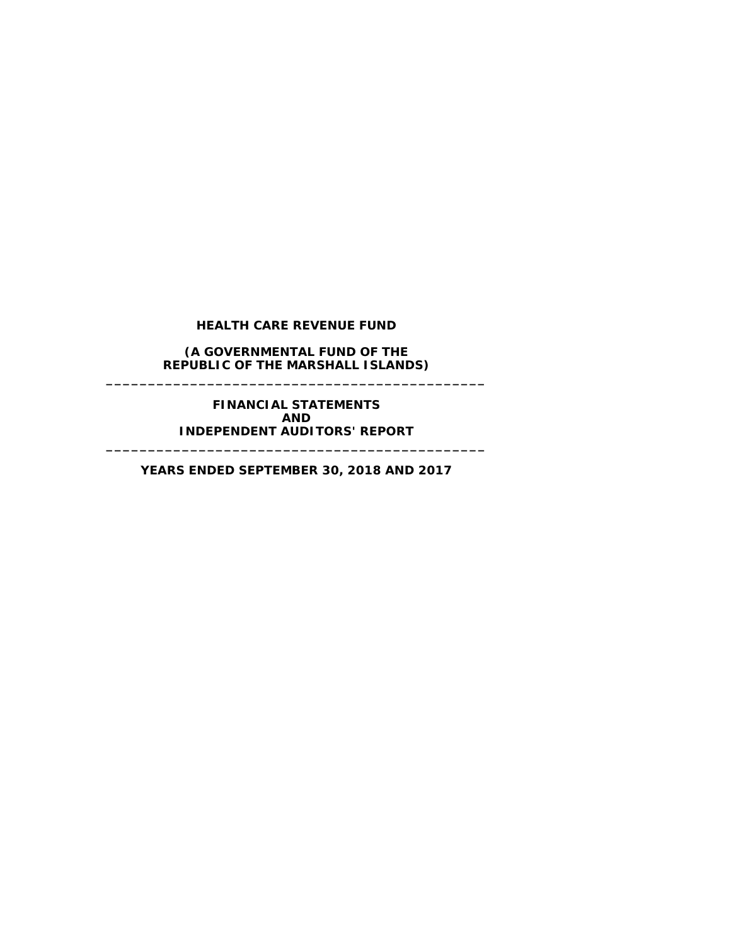**(A GOVERNMENTAL FUND OF THE REPUBLIC OF THE MARSHALL ISLANDS) \_\_\_\_\_\_\_\_\_\_\_\_\_\_\_\_\_\_\_\_\_\_\_\_\_\_\_\_\_\_\_\_\_\_\_\_\_\_\_\_\_\_\_\_\_**

> **FINANCIAL STATEMENTS AND INDEPENDENT AUDITORS' REPORT**

**YEARS ENDED SEPTEMBER 30, 2018 AND 2017**

**\_\_\_\_\_\_\_\_\_\_\_\_\_\_\_\_\_\_\_\_\_\_\_\_\_\_\_\_\_\_\_\_\_\_\_\_\_\_\_\_\_\_\_\_\_**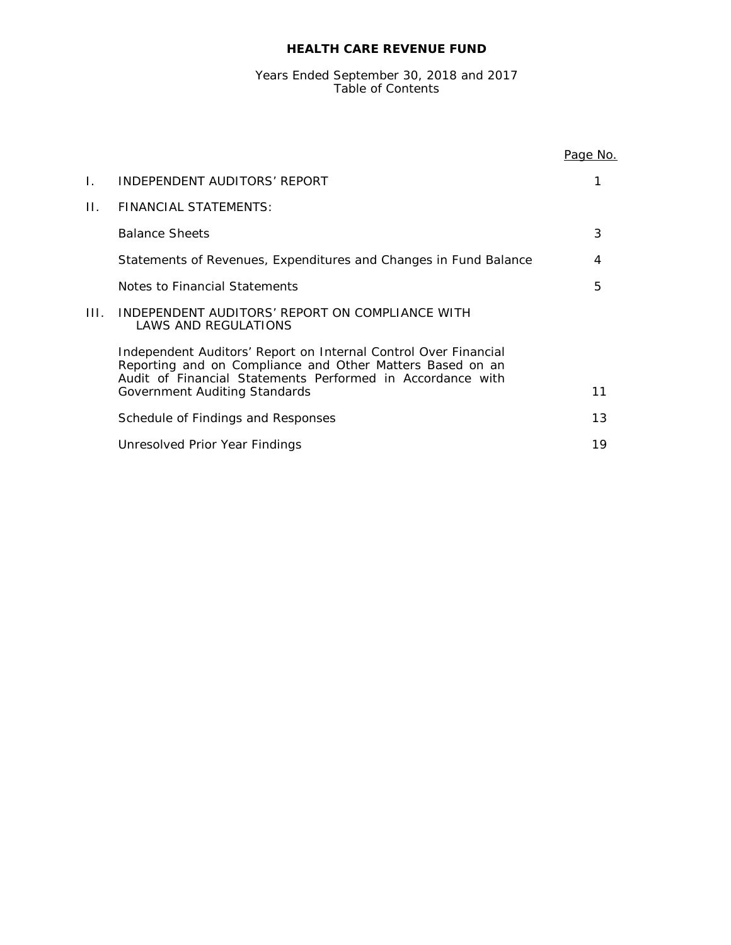# Years Ended September 30, 2018 and 2017 Table of Contents

|      |                                                                                                                                                                                            | <u>Page No.</u> |
|------|--------------------------------------------------------------------------------------------------------------------------------------------------------------------------------------------|-----------------|
| L.   | INDEPENDENT AUDITORS' REPORT                                                                                                                                                               |                 |
| П.   | <b>FINANCIAL STATEMENTS:</b>                                                                                                                                                               |                 |
|      | <b>Balance Sheets</b>                                                                                                                                                                      | 3               |
|      | Statements of Revenues, Expenditures and Changes in Fund Balance                                                                                                                           | 4               |
|      | Notes to Financial Statements                                                                                                                                                              | 5               |
| III. | INDEPENDENT AUDITORS' REPORT ON COMPLIANCE WITH<br>LAWS AND REGULATIONS                                                                                                                    |                 |
|      | Independent Auditors' Report on Internal Control Over Financial<br>Reporting and on Compliance and Other Matters Based on an<br>Audit of Financial Statements Performed in Accordance with |                 |
|      | Government Auditing Standards                                                                                                                                                              | 11              |
|      | Schedule of Findings and Responses                                                                                                                                                         | 13              |
|      | Unresolved Prior Year Findings                                                                                                                                                             | 19              |
|      |                                                                                                                                                                                            |                 |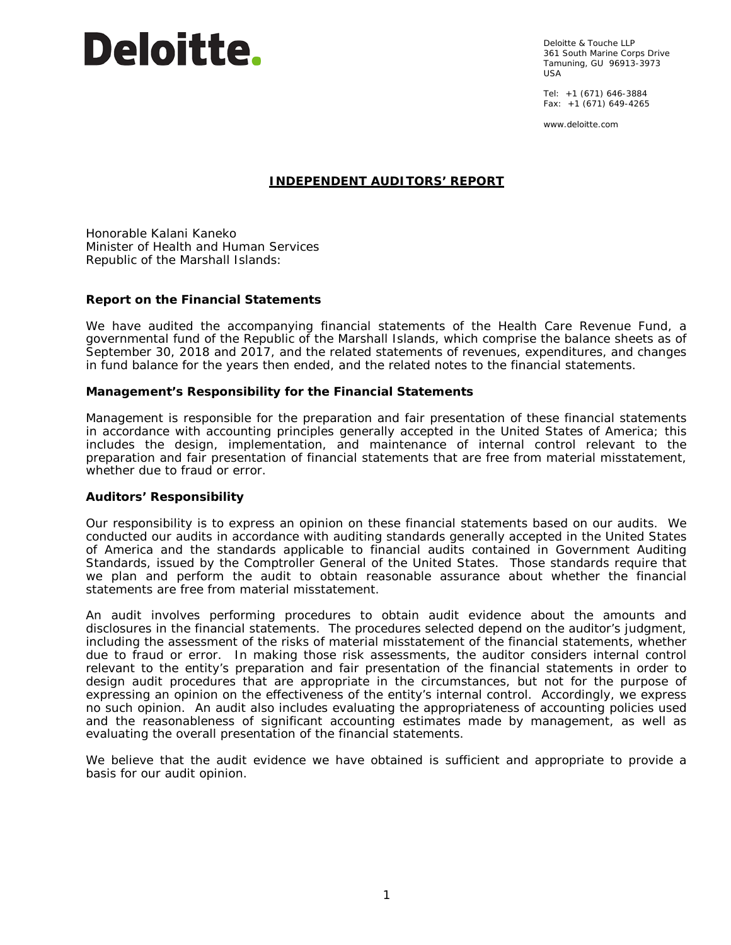# Deloitte.

Deloitte & Touche LLP 361 South Marine Corps Drive Tamuning, GU 96913-3973 USA

Tel: +1 (671) 646-3884 Fax: +1 (671) 649-4265

www.deloitte.com

# **INDEPENDENT AUDITORS' REPORT**

Honorable Kalani Kaneko Minister of Health and Human Services Republic of the Marshall Islands:

# **Report on the Financial Statements**

We have audited the accompanying financial statements of the Health Care Revenue Fund, a governmental fund of the Republic of the Marshall Islands, which comprise the balance sheets as of September 30, 2018 and 2017, and the related statements of revenues, expenditures, and changes in fund balance for the years then ended, and the related notes to the financial statements.

#### *Management's Responsibility for the Financial Statements*

Management is responsible for the preparation and fair presentation of these financial statements in accordance with accounting principles generally accepted in the United States of America; this includes the design, implementation, and maintenance of internal control relevant to the preparation and fair presentation of financial statements that are free from material misstatement, whether due to fraud or error.

#### *Auditors' Responsibility*

Our responsibility is to express an opinion on these financial statements based on our audits. We conducted our audits in accordance with auditing standards generally accepted in the United States of America and the standards applicable to financial audits contained in *Government Auditing Standards*, issued by the Comptroller General of the United States. Those standards require that we plan and perform the audit to obtain reasonable assurance about whether the financial statements are free from material misstatement.

An audit involves performing procedures to obtain audit evidence about the amounts and disclosures in the financial statements. The procedures selected depend on the auditor's judgment, including the assessment of the risks of material misstatement of the financial statements, whether due to fraud or error. In making those risk assessments, the auditor considers internal control relevant to the entity's preparation and fair presentation of the financial statements in order to design audit procedures that are appropriate in the circumstances, but not for the purpose of expressing an opinion on the effectiveness of the entity's internal control. Accordingly, we express no such opinion. An audit also includes evaluating the appropriateness of accounting policies used and the reasonableness of significant accounting estimates made by management, as well as evaluating the overall presentation of the financial statements.

We believe that the audit evidence we have obtained is sufficient and appropriate to provide a basis for our audit opinion.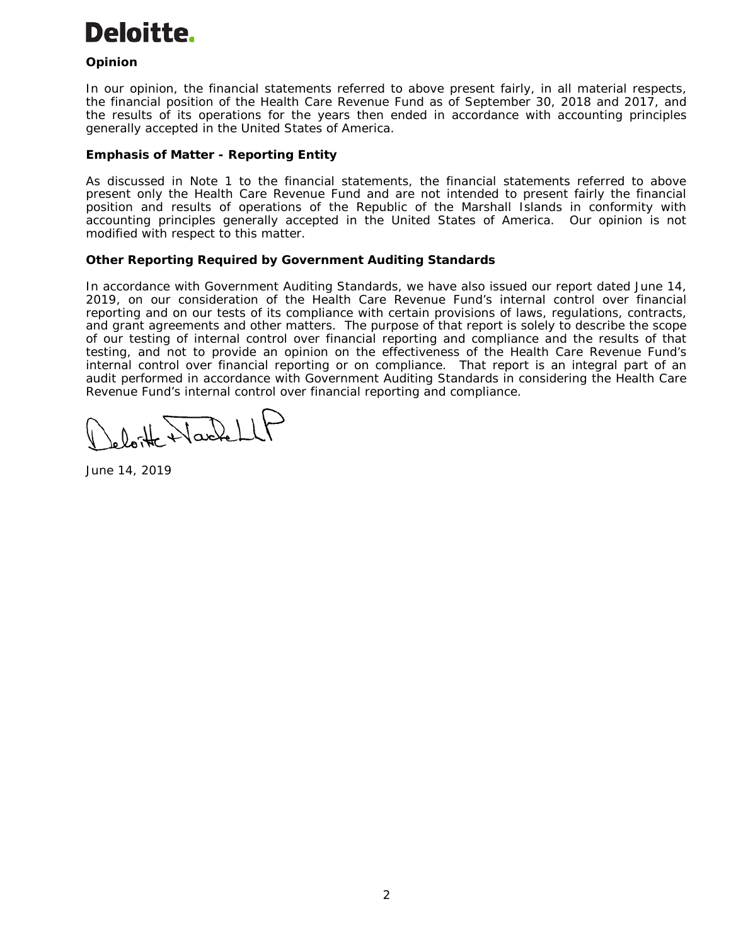# Deloitte.

# *Opinion*

In our opinion, the financial statements referred to above present fairly, in all material respects, the financial position of the Health Care Revenue Fund as of September 30, 2018 and 2017, and the results of its operations for the years then ended in accordance with accounting principles generally accepted in the United States of America.

# *Emphasis of Matter - Reporting Entity*

As discussed in Note 1 to the financial statements, the financial statements referred to above present only the Health Care Revenue Fund and are not intended to present fairly the financial position and results of operations of the Republic of the Marshall Islands in conformity with accounting principles generally accepted in the United States of America. Our opinion is not modified with respect to this matter.

# **Other Reporting Required by** *Government Auditing Standards*

In accordance with *Government Auditing Standards*, we have also issued our report dated June 14, 2019, on our consideration of the Health Care Revenue Fund's internal control over financial reporting and on our tests of its compliance with certain provisions of laws, regulations, contracts, and grant agreements and other matters. The purpose of that report is solely to describe the scope of our testing of internal control over financial reporting and compliance and the results of that testing, and not to provide an opinion on the effectiveness of the Health Care Revenue Fund's internal control over financial reporting or on compliance. That report is an integral part of an audit performed in accordance with *Government Auditing Standards* in considering the Health Care Revenue Fund's internal control over financial reporting and compliance.

Harlell

June 14, 2019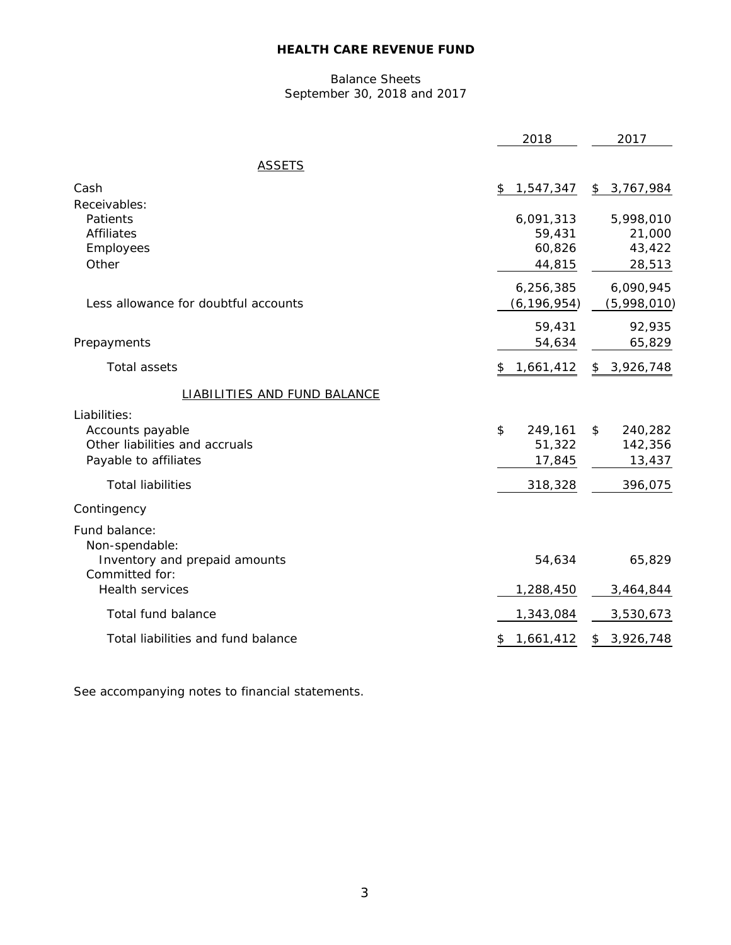# Balance Sheets September 30, 2018 and 2017

|                                                                                                              | 2018                                    | 2017                                    |
|--------------------------------------------------------------------------------------------------------------|-----------------------------------------|-----------------------------------------|
| <b>ASSETS</b>                                                                                                |                                         |                                         |
| Cash                                                                                                         | 1,547,347<br>\$                         | \$3,767,984                             |
| Receivables:<br>Patients<br><b>Affiliates</b><br>Employees<br>Other                                          | 6,091,313<br>59,431<br>60,826<br>44,815 | 5,998,010<br>21,000<br>43,422<br>28,513 |
| Less allowance for doubtful accounts                                                                         | 6,256,385<br>(6, 196, 954)              | 6,090,945<br>(5,998,010)                |
| Prepayments                                                                                                  | 59,431<br>54,634                        | 92,935<br>65,829                        |
| <b>Total assets</b>                                                                                          | 1,661,412<br>\$                         | \$3,926,748                             |
| <b>LIABILITIES AND FUND BALANCE</b>                                                                          |                                         |                                         |
| Liabilities:<br>Accounts payable<br>Other liabilities and accruals<br>Payable to affiliates                  | \$<br>249,161<br>51,322<br>17,845       | 240,282<br>\$<br>142,356<br>13,437      |
| <b>Total liabilities</b>                                                                                     | 318,328                                 | 396,075                                 |
| Contingency                                                                                                  |                                         |                                         |
| Fund balance:<br>Non-spendable:<br>Inventory and prepaid amounts<br>Committed for:<br><b>Health services</b> | 54,634<br>1,288,450                     | 65,829<br>3,464,844                     |
| Total fund balance                                                                                           | 1,343,084                               | 3,530,673                               |
| Total liabilities and fund balance                                                                           | 1,661,412<br>\$                         | \$3,926,748                             |

See accompanying notes to financial statements.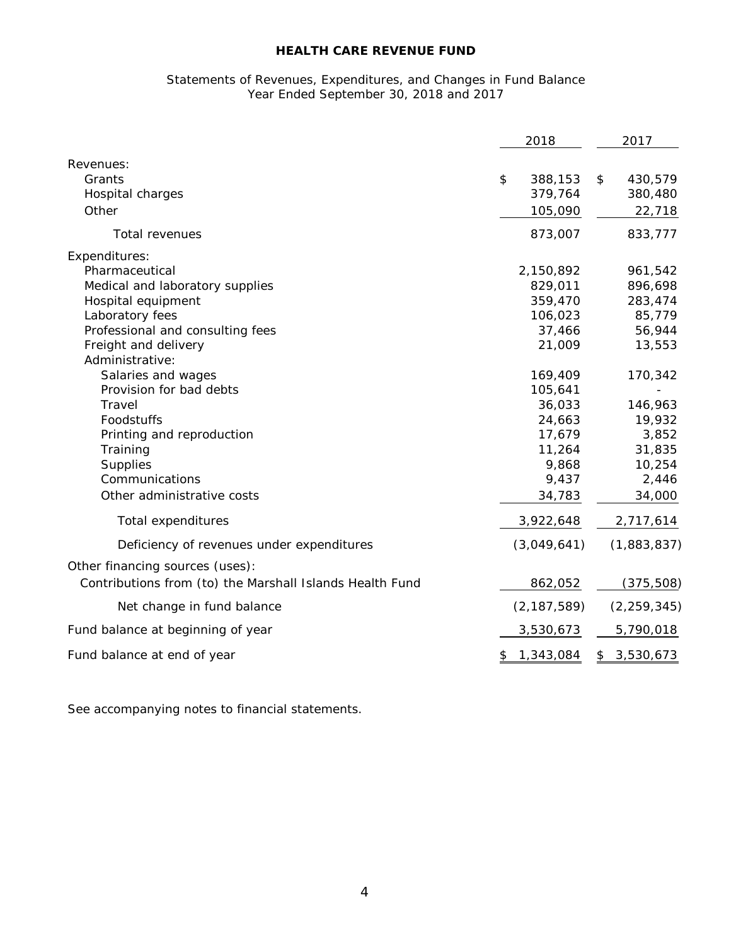# Statements of Revenues, Expenditures, and Changes in Fund Balance Year Ended September 30, 2018 and 2017

|                                                          | 2018            |                | 2017          |
|----------------------------------------------------------|-----------------|----------------|---------------|
| Revenues:                                                |                 |                |               |
| Grants                                                   | \$<br>388,153   | $\mathfrak{D}$ | 430,579       |
| Hospital charges                                         | 379,764         |                | 380,480       |
| Other                                                    | 105,090         |                | 22,718        |
| Total revenues                                           | 873,007         |                | 833,777       |
| Expenditures:                                            |                 |                |               |
| Pharmaceutical                                           | 2,150,892       |                | 961,542       |
| Medical and laboratory supplies                          | 829,011         |                | 896,698       |
| Hospital equipment                                       | 359,470         |                | 283,474       |
| Laboratory fees                                          | 106,023         |                | 85,779        |
| Professional and consulting fees                         | 37,466          |                | 56,944        |
| Freight and delivery<br>Administrative:                  | 21,009          |                | 13,553        |
| Salaries and wages                                       | 169,409         |                | 170,342       |
| Provision for bad debts                                  | 105,641         |                |               |
| Travel                                                   | 36,033          |                | 146,963       |
| Foodstuffs                                               | 24,663          |                | 19,932        |
| Printing and reproduction                                | 17,679          |                | 3,852         |
| Training                                                 | 11,264          |                | 31,835        |
| Supplies                                                 | 9,868           |                | 10,254        |
| Communications                                           | 9,437           |                | 2,446         |
| Other administrative costs                               | 34,783          |                | 34,000        |
| <b>Total expenditures</b>                                | 3,922,648       |                | 2,717,614     |
| Deficiency of revenues under expenditures                | (3,049,641)     |                | (1,883,837)   |
| Other financing sources (uses):                          |                 |                |               |
| Contributions from (to) the Marshall Islands Health Fund | 862,052         |                | (375, 508)    |
| Net change in fund balance                               | (2, 187, 589)   |                | (2, 259, 345) |
| Fund balance at beginning of year                        | 3,530,673       |                | 5,790,018     |
| Fund balance at end of year                              | \$<br>1,343,084 | \$             | 3,530,673     |

See accompanying notes to financial statements.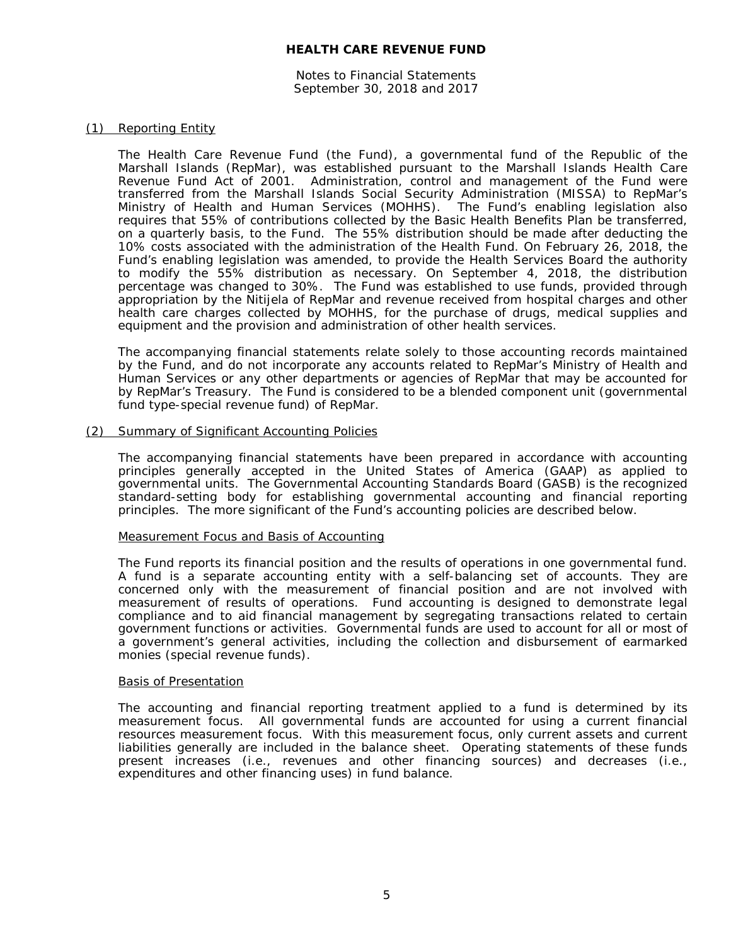Notes to Financial Statements September 30, 2018 and 2017

#### (1) Reporting Entity

The Health Care Revenue Fund (the Fund), a governmental fund of the Republic of the Marshall Islands (RepMar), was established pursuant to the Marshall Islands Health Care Revenue Fund Act of 2001. Administration, control and management of the Fund were transferred from the Marshall Islands Social Security Administration (MISSA) to RepMar's Ministry of Health and Human Services (MOHHS). The Fund's enabling legislation also requires that 55% of contributions collected by the Basic Health Benefits Plan be transferred, on a quarterly basis, to the Fund. The 55% distribution should be made after deducting the 10% costs associated with the administration of the Health Fund. On February 26, 2018, the Fund's enabling legislation was amended, to provide the Health Services Board the authority to modify the 55% distribution as necessary. On September 4, 2018, the distribution percentage was changed to 30%. The Fund was established to use funds, provided through appropriation by the Nitijela of RepMar and revenue received from hospital charges and other health care charges collected by MOHHS, for the purchase of drugs, medical supplies and equipment and the provision and administration of other health services.

The accompanying financial statements relate solely to those accounting records maintained by the Fund, and do not incorporate any accounts related to RepMar's Ministry of Health and Human Services or any other departments or agencies of RepMar that may be accounted for by RepMar's Treasury. The Fund is considered to be a blended component unit (governmental fund type-special revenue fund) of RepMar.

#### (2) Summary of Significant Accounting Policies

The accompanying financial statements have been prepared in accordance with accounting principles generally accepted in the United States of America (GAAP) as applied to governmental units. The Governmental Accounting Standards Board (GASB) is the recognized standard-setting body for establishing governmental accounting and financial reporting principles. The more significant of the Fund's accounting policies are described below.

#### Measurement Focus and Basis of Accounting

The Fund reports its financial position and the results of operations in one governmental fund. A fund is a separate accounting entity with a self-balancing set of accounts. They are concerned only with the measurement of financial position and are not involved with measurement of results of operations. Fund accounting is designed to demonstrate legal compliance and to aid financial management by segregating transactions related to certain government functions or activities. Governmental funds are used to account for all or most of a government's general activities, including the collection and disbursement of earmarked monies (special revenue funds).

#### Basis of Presentation

The accounting and financial reporting treatment applied to a fund is determined by its measurement focus. All governmental funds are accounted for using a current financial resources measurement focus. With this measurement focus, only current assets and current liabilities generally are included in the balance sheet. Operating statements of these funds present increases (i.e., revenues and other financing sources) and decreases (i.e., expenditures and other financing uses) in fund balance.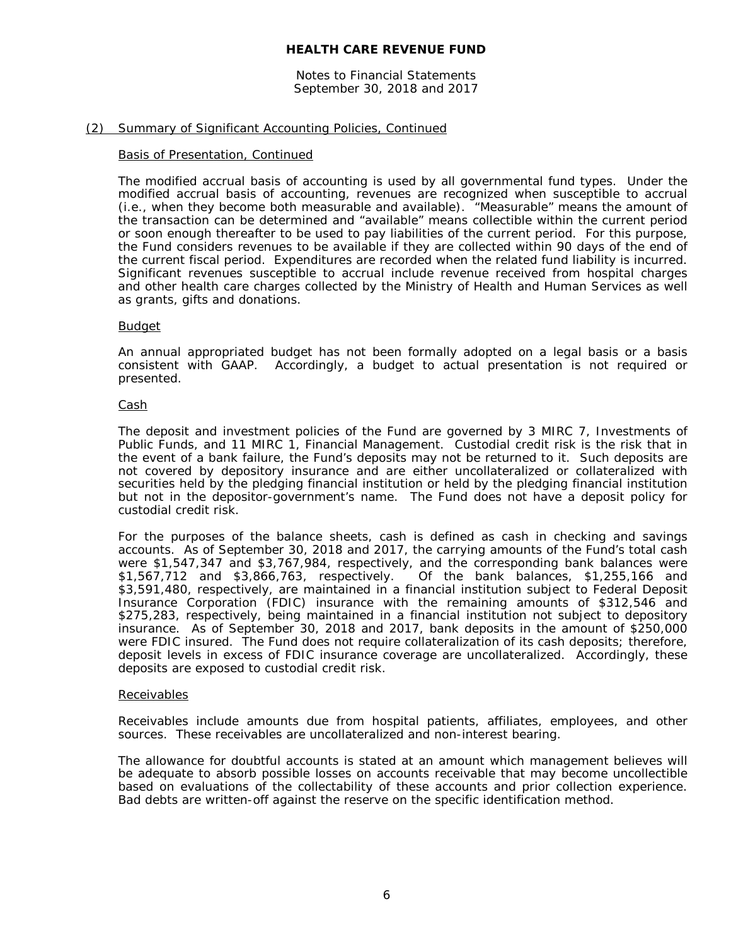Notes to Financial Statements September 30, 2018 and 2017

## (2) Summary of Significant Accounting Policies, Continued

#### Basis of Presentation, Continued

The modified accrual basis of accounting is used by all governmental fund types. Under the modified accrual basis of accounting, revenues are recognized when susceptible to accrual (i.e., when they become both measurable and available). "Measurable" means the amount of the transaction can be determined and "available" means collectible within the current period or soon enough thereafter to be used to pay liabilities of the current period. For this purpose, the Fund considers revenues to be available if they are collected within 90 days of the end of the current fiscal period. Expenditures are recorded when the related fund liability is incurred. Significant revenues susceptible to accrual include revenue received from hospital charges and other health care charges collected by the Ministry of Health and Human Services as well as grants, gifts and donations.

#### Budget

An annual appropriated budget has not been formally adopted on a legal basis or a basis consistent with GAAP. Accordingly, a budget to actual presentation is not required or presented.

#### Cash

The deposit and investment policies of the Fund are governed by 3 MIRC 7, *Investments of Public Funds*, and 11 MIRC 1, *Financial Management*. Custodial credit risk is the risk that in the event of a bank failure, the Fund's deposits may not be returned to it. Such deposits are not covered by depository insurance and are either uncollateralized or collateralized with securities held by the pledging financial institution or held by the pledging financial institution but not in the depositor-government's name. The Fund does not have a deposit policy for custodial credit risk.

For the purposes of the balance sheets, cash is defined as cash in checking and savings accounts. As of September 30, 2018 and 2017, the carrying amounts of the Fund's total cash were \$1,547,347 and \$3,767,984, respectively, and the corresponding bank balances were \$1,567,712 and \$3,866,763, respectively. Of the bank balances, \$1,255,166 and \$3,591,480, respectively, are maintained in a financial institution subject to Federal Deposit Insurance Corporation (FDIC) insurance with the remaining amounts of \$312,546 and \$275,283, respectively, being maintained in a financial institution not subject to depository insurance. As of September 30, 2018 and 2017, bank deposits in the amount of \$250,000 were FDIC insured. The Fund does not require collateralization of its cash deposits; therefore, deposit levels in excess of FDIC insurance coverage are uncollateralized. Accordingly, these deposits are exposed to custodial credit risk.

#### Receivables

Receivables include amounts due from hospital patients, affiliates, employees, and other sources. These receivables are uncollateralized and non-interest bearing.

The allowance for doubtful accounts is stated at an amount which management believes will be adequate to absorb possible losses on accounts receivable that may become uncollectible based on evaluations of the collectability of these accounts and prior collection experience. Bad debts are written-off against the reserve on the specific identification method.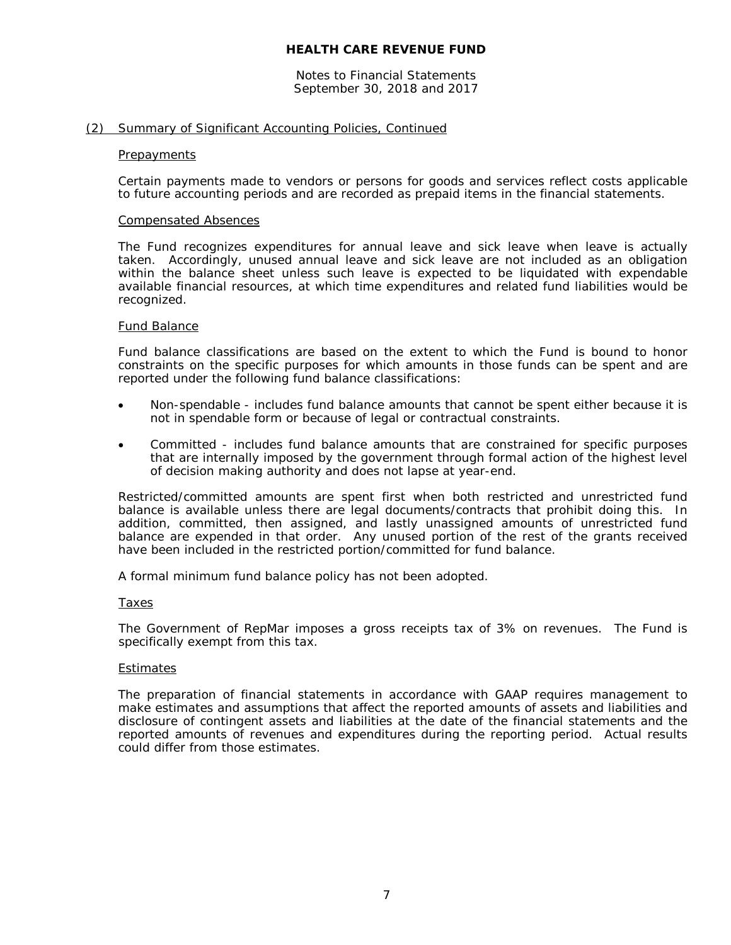Notes to Financial Statements September 30, 2018 and 2017

#### (2) Summary of Significant Accounting Policies, Continued

#### **Prepayments**

Certain payments made to vendors or persons for goods and services reflect costs applicable to future accounting periods and are recorded as prepaid items in the financial statements.

#### Compensated Absences

The Fund recognizes expenditures for annual leave and sick leave when leave is actually taken. Accordingly, unused annual leave and sick leave are not included as an obligation within the balance sheet unless such leave is expected to be liquidated with expendable available financial resources, at which time expenditures and related fund liabilities would be recognized.

#### Fund Balance

Fund balance classifications are based on the extent to which the Fund is bound to honor constraints on the specific purposes for which amounts in those funds can be spent and are reported under the following fund balance classifications:

- Non-spendable includes fund balance amounts that cannot be spent either because it is not in spendable form or because of legal or contractual constraints.
- Committed includes fund balance amounts that are constrained for specific purposes that are internally imposed by the government through formal action of the highest level of decision making authority and does not lapse at year-end.

Restricted/committed amounts are spent first when both restricted and unrestricted fund balance is available unless there are legal documents/contracts that prohibit doing this. In addition, committed, then assigned, and lastly unassigned amounts of unrestricted fund balance are expended in that order. Any unused portion of the rest of the grants received have been included in the restricted portion/committed for fund balance.

A formal minimum fund balance policy has not been adopted.

#### Taxes

The Government of RepMar imposes a gross receipts tax of 3% on revenues. The Fund is specifically exempt from this tax.

#### **Estimates**

The preparation of financial statements in accordance with GAAP requires management to make estimates and assumptions that affect the reported amounts of assets and liabilities and disclosure of contingent assets and liabilities at the date of the financial statements and the reported amounts of revenues and expenditures during the reporting period. Actual results could differ from those estimates.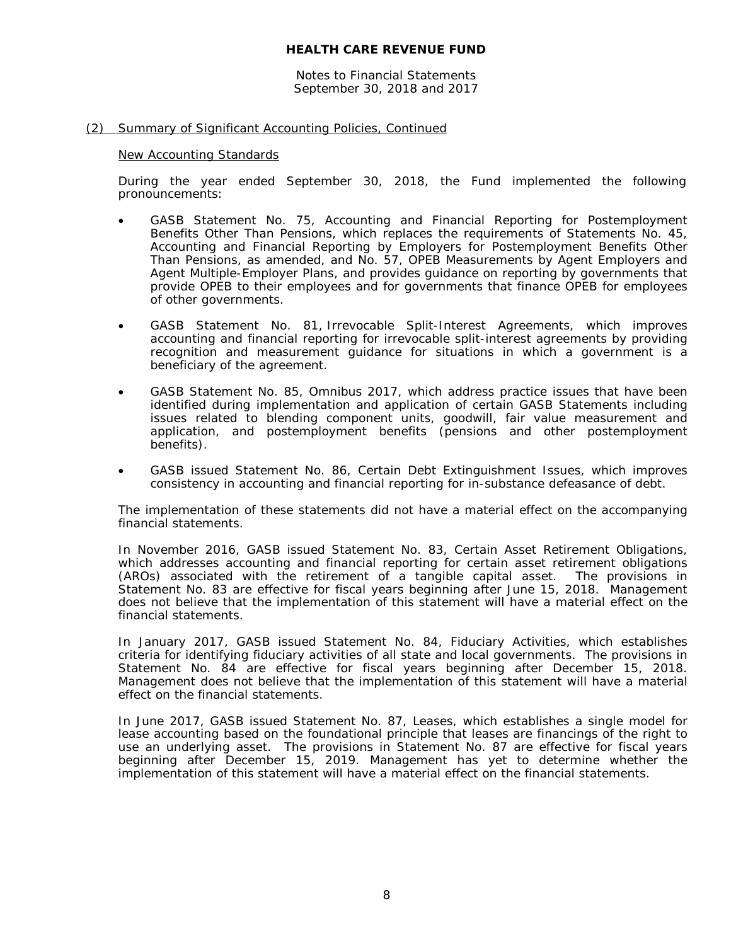Notes to Financial Statements September 30, 2018 and 2017

#### (2) Summary of Significant Accounting Policies, Continued

#### New Accounting Standards

During the year ended September 30, 2018, the Fund implemented the following pronouncements:

- GASB Statement No. 75, *Accounting and Financial Reporting for Postemployment Benefits Other Than Pensions*, which replaces the requirements of Statements No. 45, *Accounting and Financial Reporting by Employers for Postemployment Benefits Other Than Pensions*, as amended, and No. 57, *OPEB Measurements by Agent Employers and Agent Multiple-Employer Plans*, and provides guidance on reporting by governments that provide OPEB to their employees and for governments that finance OPEB for employees of other governments.
- GASB Statement No. 81, *Irrevocable Split-Interest Agreements*, which improves accounting and financial reporting for irrevocable split-interest agreements by providing recognition and measurement guidance for situations in which a government is a beneficiary of the agreement.
- GASB Statement No. 85, *Omnibus 2017*, which address practice issues that have been identified during implementation and application of certain GASB Statements including issues related to blending component units, goodwill, fair value measurement and application, and postemployment benefits (pensions and other postemployment benefits).
- GASB issued Statement No. 86, *Certain Debt Extinguishment Issues*, which improves consistency in accounting and financial reporting for in-substance defeasance of debt.

The implementation of these statements did not have a material effect on the accompanying financial statements.

In November 2016, GASB issued Statement No. 83, *Certain Asset Retirement Obligations*, which addresses accounting and financial reporting for certain asset retirement obligations (AROs) associated with the retirement of a tangible capital asset. The provisions in Statement No. 83 are effective for fiscal years beginning after June 15, 2018. Management does not believe that the implementation of this statement will have a material effect on the financial statements.

In January 2017, GASB issued Statement No. 84, *Fiduciary Activities*, which establishes criteria for identifying fiduciary activities of all state and local governments. The provisions in Statement No. 84 are effective for fiscal years beginning after December 15, 2018. Management does not believe that the implementation of this statement will have a material effect on the financial statements.

In June 2017, GASB issued Statement No. 87, *Leases*, which establishes a single model for lease accounting based on the foundational principle that leases are financings of the right to use an underlying asset. The provisions in Statement No. 87 are effective for fiscal years beginning after December 15, 2019. Management has yet to determine whether the implementation of this statement will have a material effect on the financial statements.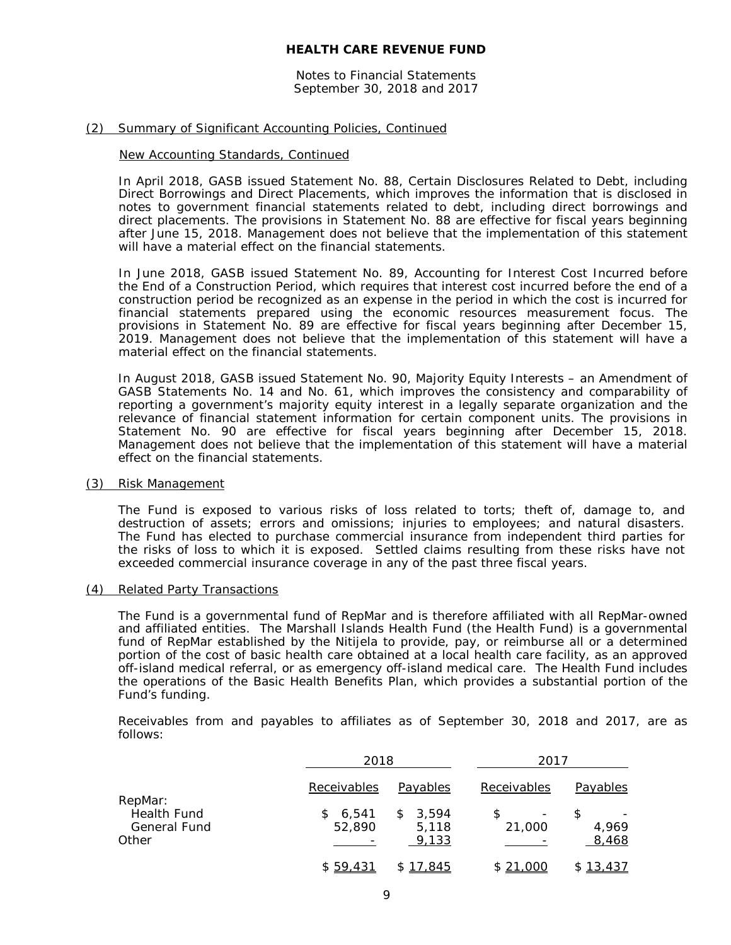Notes to Financial Statements September 30, 2018 and 2017

#### (2) Summary of Significant Accounting Policies, Continued

#### New Accounting Standards, Continued

In April 2018, GASB issued Statement No. 88, *Certain Disclosures Related to Debt, including Direct Borrowings and Direct Placements*, which improves the information that is disclosed in notes to government financial statements related to debt, including direct borrowings and direct placements. The provisions in Statement No. 88 are effective for fiscal years beginning after June 15, 2018. Management does not believe that the implementation of this statement will have a material effect on the financial statements.

In June 2018, GASB issued Statement No. 89, *Accounting for Interest Cost Incurred before the End of a Construction Period*, which requires that interest cost incurred before the end of a construction period be recognized as an expense in the period in which the cost is incurred for financial statements prepared using the economic resources measurement focus. The provisions in Statement No. 89 are effective for fiscal years beginning after December 15, 2019. Management does not believe that the implementation of this statement will have a material effect on the financial statements.

In August 2018, GASB issued Statement No. 90, *Majority Equity Interests – an Amendment of GASB Statements No. 14 and No. 61,* which improves the consistency and comparability of reporting a government's majority equity interest in a legally separate organization and the relevance of financial statement information for certain component units. The provisions in Statement No. 90 are effective for fiscal years beginning after December 15, 2018. Management does not believe that the implementation of this statement will have a material effect on the financial statements.

#### (3) Risk Management

The Fund is exposed to various risks of loss related to torts; theft of, damage to, and destruction of assets; errors and omissions; injuries to employees; and natural disasters. The Fund has elected to purchase commercial insurance from independent third parties for the risks of loss to which it is exposed. Settled claims resulting from these risks have not exceeded commercial insurance coverage in any of the past three fiscal years.

#### (4) Related Party Transactions

The Fund is a governmental fund of RepMar and is therefore affiliated with all RepMar-owned and affiliated entities. The Marshall Islands Health Fund (the Health Fund) is a governmental fund of RepMar established by the Nitijela to provide, pay, or reimburse all or a determined portion of the cost of basic health care obtained at a local health care facility, as an approved off-island medical referral, or as emergency off-island medical care. The Health Fund includes the operations of the Basic Health Benefits Plan, which provides a substantial portion of the Fund's funding.

Receivables from and payables to affiliates as of September 30, 2018 and 2017, are as follows:

|                     |             | 2018     |                               | 2017            |  |  |
|---------------------|-------------|----------|-------------------------------|-----------------|--|--|
|                     | Receivables | Payables | Receivables                   | <b>Payables</b> |  |  |
| RepMar:             |             |          |                               |                 |  |  |
| <b>Health Fund</b>  | 6,541<br>S. | \$3,594  | S<br>$\overline{\phantom{a}}$ |                 |  |  |
| <b>General Fund</b> | 52,890      | 5,118    | 21,000                        | 4,969           |  |  |
| Other               |             | 9,133    |                               | 8,468           |  |  |
|                     | \$59,431    | \$17,845 | \$ 21,000                     | \$13,437        |  |  |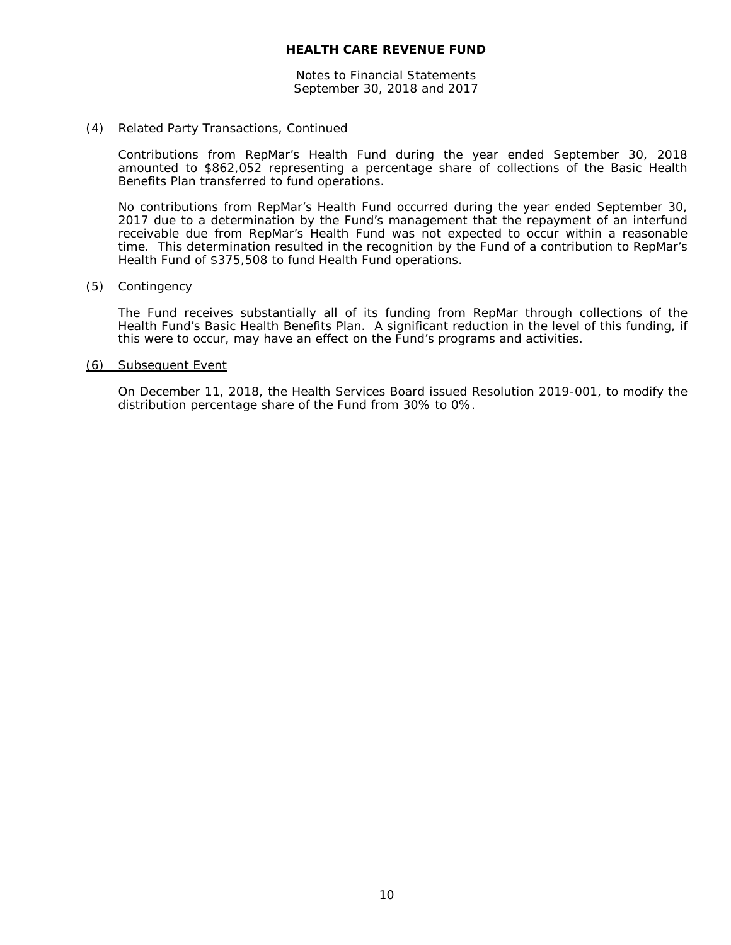Notes to Financial Statements September 30, 2018 and 2017

# (4) Related Party Transactions, Continued

Contributions from RepMar's Health Fund during the year ended September 30, 2018 amounted to \$862,052 representing a percentage share of collections of the Basic Health Benefits Plan transferred to fund operations.

No contributions from RepMar's Health Fund occurred during the year ended September 30, 2017 due to a determination by the Fund's management that the repayment of an interfund receivable due from RepMar's Health Fund was not expected to occur within a reasonable time. This determination resulted in the recognition by the Fund of a contribution to RepMar's Health Fund of \$375,508 to fund Health Fund operations.

#### (5) Contingency

The Fund receives substantially all of its funding from RepMar through collections of the Health Fund's Basic Health Benefits Plan. A significant reduction in the level of this funding, if this were to occur, may have an effect on the Fund's programs and activities.

#### (6) Subsequent Event

On December 11, 2018, the Health Services Board issued Resolution 2019-001, to modify the distribution percentage share of the Fund from 30% to 0%.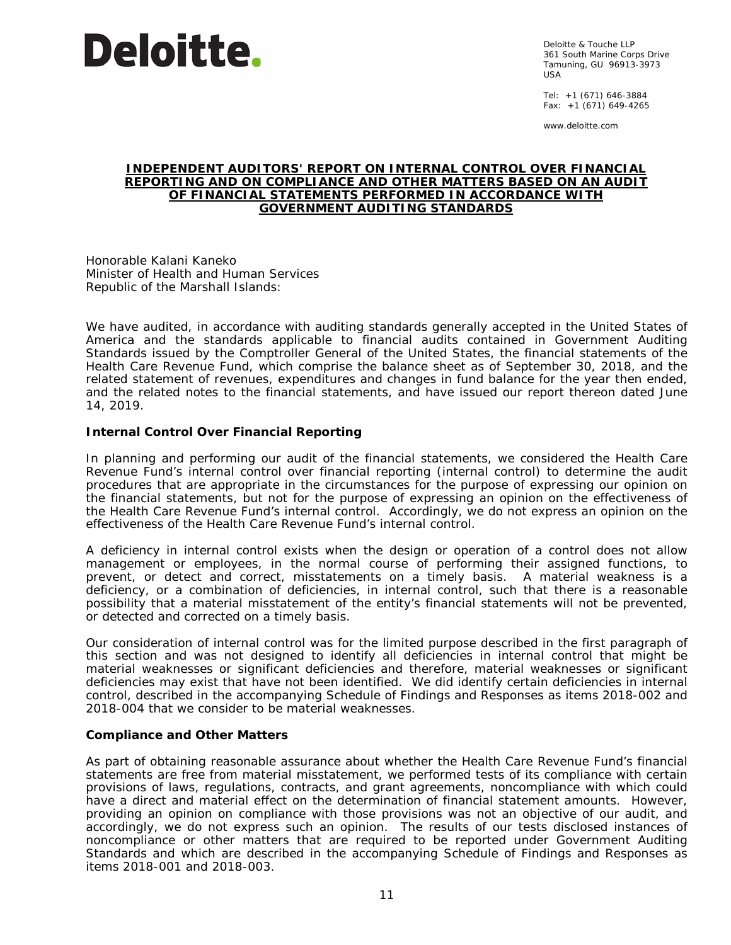

Deloitte & Touche LLP 361 South Marine Corps Drive Tamuning, GU 96913-3973 USA

Tel: +1 (671) 646-3884 Fax:  $+1$  (671) 649-4265

www.deloitte.com

#### **INDEPENDENT AUDITORS' REPORT ON INTERNAL CONTROL OVER FINANCIAL REPORTING AND ON COMPLIANCE AND OTHER MATTERS BASED ON AN AUDIT OF FINANCIAL STATEMENTS PERFORMED IN ACCORDANCE WITH** *GOVERNMENT AUDITING STANDARDS*

Honorable Kalani Kaneko Minister of Health and Human Services Republic of the Marshall Islands:

We have audited, in accordance with auditing standards generally accepted in the United States of America and the standards applicable to financial audits contained in *Government Auditing Standards* issued by the Comptroller General of the United States, the financial statements of the Health Care Revenue Fund, which comprise the balance sheet as of September 30, 2018, and the related statement of revenues, expenditures and changes in fund balance for the year then ended, and the related notes to the financial statements, and have issued our report thereon dated June 14, 2019.

# **Internal Control Over Financial Reporting**

In planning and performing our audit of the financial statements, we considered the Health Care Revenue Fund's internal control over financial reporting (internal control) to determine the audit procedures that are appropriate in the circumstances for the purpose of expressing our opinion on the financial statements, but not for the purpose of expressing an opinion on the effectiveness of the Health Care Revenue Fund's internal control. Accordingly, we do not express an opinion on the effectiveness of the Health Care Revenue Fund's internal control.

A *deficiency in internal control* exists when the design or operation of a control does not allow management or employees, in the normal course of performing their assigned functions, to prevent, or detect and correct, misstatements on a timely basis. A *material weakness* is a deficiency, or a combination of deficiencies, in internal control, such that there is a reasonable possibility that a material misstatement of the entity's financial statements will not be prevented, or detected and corrected on a timely basis.

Our consideration of internal control was for the limited purpose described in the first paragraph of this section and was not designed to identify all deficiencies in internal control that might be material weaknesses or significant deficiencies and therefore, material weaknesses or significant deficiencies may exist that have not been identified. We did identify certain deficiencies in internal control, described in the accompanying Schedule of Findings and Responses as items 2018-002 and 2018-004 that we consider to be material weaknesses.

#### **Compliance and Other Matters**

As part of obtaining reasonable assurance about whether the Health Care Revenue Fund's financial statements are free from material misstatement, we performed tests of its compliance with certain provisions of laws, regulations, contracts, and grant agreements, noncompliance with which could have a direct and material effect on the determination of financial statement amounts. However, providing an opinion on compliance with those provisions was not an objective of our audit, and accordingly, we do not express such an opinion. The results of our tests disclosed instances of noncompliance or other matters that are required to be reported under *Government Auditing Standards* and which are described in the accompanying Schedule of Findings and Responses as items 2018-001 and 2018-003.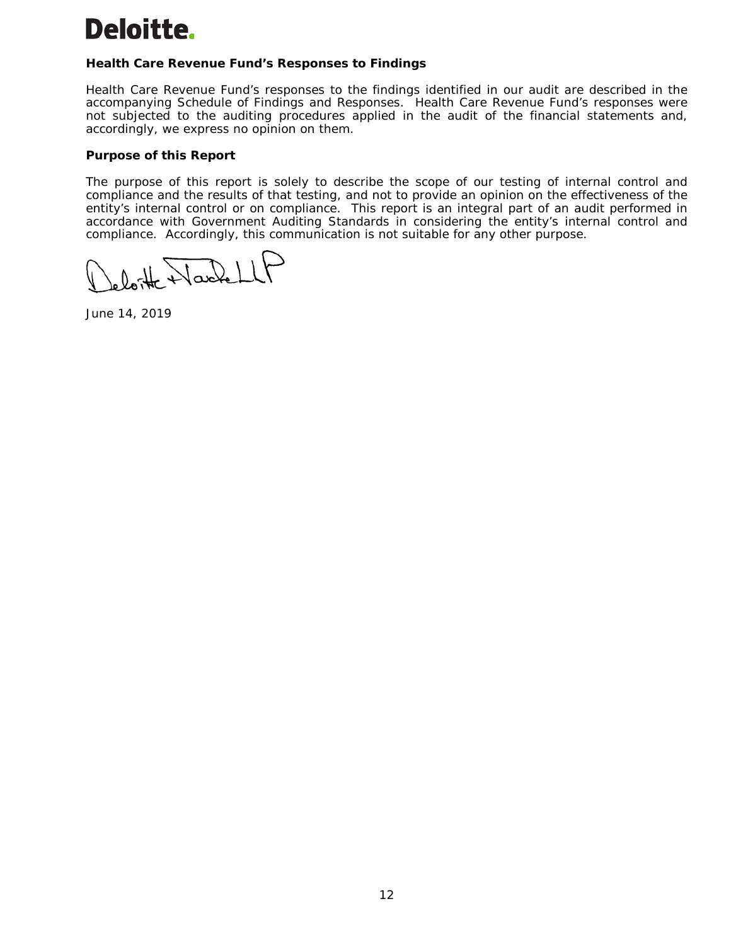# Deloitte.

# **Health Care Revenue Fund's Responses to Findings**

Health Care Revenue Fund's responses to the findings identified in our audit are described in the accompanying Schedule of Findings and Responses. Health Care Revenue Fund's responses were not subjected to the auditing procedures applied in the audit of the financial statements and, accordingly, we express no opinion on them.

# **Purpose of this Report**

The purpose of this report is solely to describe the scope of our testing of internal control and compliance and the results of that testing, and not to provide an opinion on the effectiveness of the entity's internal control or on compliance. This report is an integral part of an audit performed in accordance with *Government Auditing Standards* in considering the entity's internal control and compliance. Accordingly, this communication is not suitable for any other purpose.

H Narbet

June 14, 2019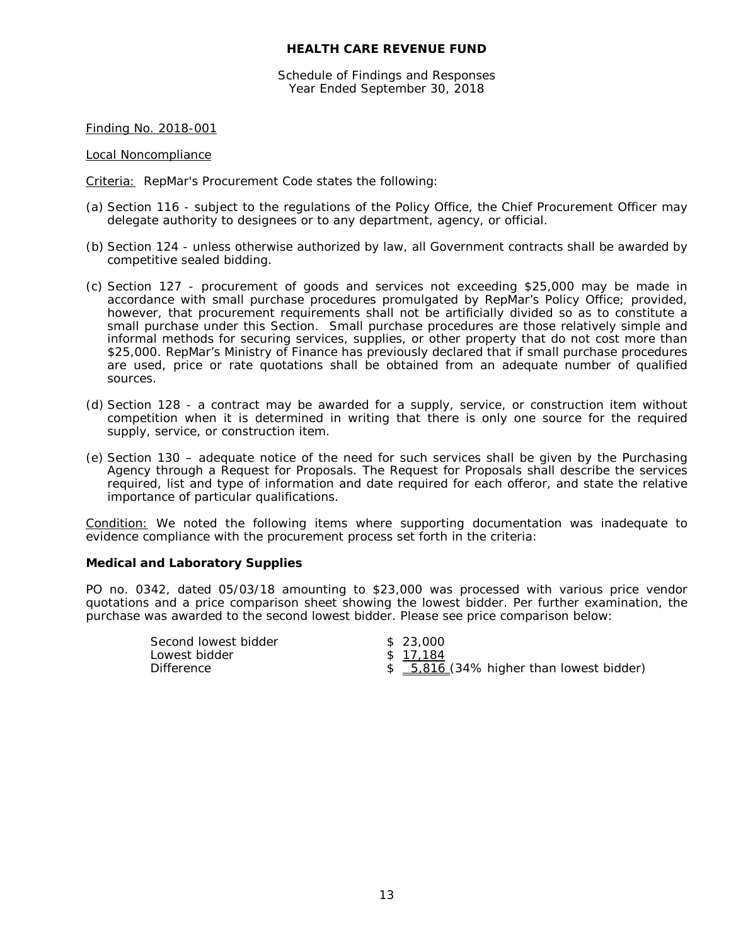Schedule of Findings and Responses Year Ended September 30, 2018

Finding No. 2018-001

Local Noncompliance

Criteria: RepMar's Procurement Code states the following:

- (a) Section 116 subject to the regulations of the Policy Office, the Chief Procurement Officer may delegate authority to designees or to any department, agency, or official.
- (b) Section 124 unless otherwise authorized by law, all Government contracts shall be awarded by competitive sealed bidding.
- (c) Section 127 procurement of goods and services not exceeding \$25,000 may be made in accordance with small purchase procedures promulgated by RepMar's Policy Office; provided, however, that procurement requirements shall not be artificially divided so as to constitute a small purchase under this Section. Small purchase procedures are those relatively simple and informal methods for securing services, supplies, or other property that do not cost more than \$25,000. RepMar's Ministry of Finance has previously declared that if small purchase procedures are used, price or rate quotations shall be obtained from an adequate number of qualified sources.
- (d) Section 128 a contract may be awarded for a supply, service, or construction item without competition when it is determined in writing that there is only one source for the required supply, service, or construction item.
- (e) Section 130 adequate notice of the need for such services shall be given by the Purchasing Agency through a Request for Proposals. The Request for Proposals shall describe the services required, list and type of information and date required for each offeror, and state the relative importance of particular qualifications.

Condition: We noted the following items where supporting documentation was inadequate to evidence compliance with the procurement process set forth in the criteria:

#### **Medical and Laboratory Supplies**

PO no. 0342, dated 05/03/18 amounting to \$23,000 was processed with various price vendor quotations and a price comparison sheet showing the lowest bidder. Per further examination, the purchase was awarded to the second lowest bidder. Please see price comparison below:

| Second lowest bidder | \$23,000                                 |
|----------------------|------------------------------------------|
| Lowest bidder        | \$17.184                                 |
| Difference           | $$5,816$ (34% higher than lowest bidder) |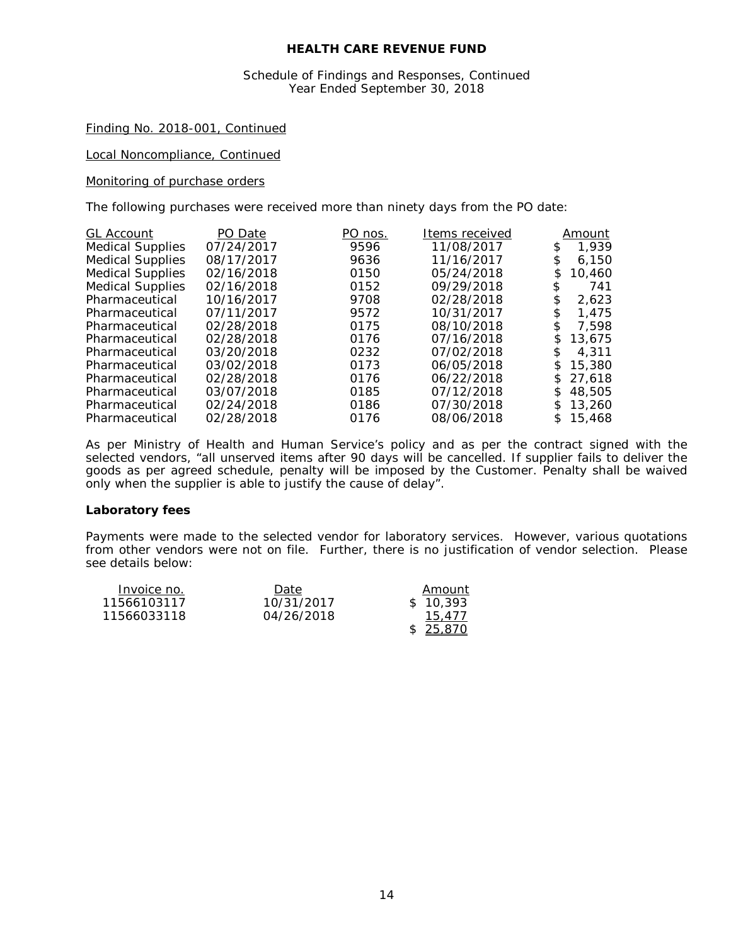#### Schedule of Findings and Responses, Continued Year Ended September 30, 2018

#### Finding No. 2018-001, Continued

Local Noncompliance, Continued

#### *Monitoring of purchase orders*

The following purchases were received more than ninety days from the PO date:

| <b>GL Account</b>       | PO Date    | PO nos. | Items received |     | Amount |
|-------------------------|------------|---------|----------------|-----|--------|
| <b>Medical Supplies</b> | 07/24/2017 | 9596    | 11/08/2017     | \$  | 1,939  |
| <b>Medical Supplies</b> | 08/17/2017 | 9636    | 11/16/2017     | \$  | 6.150  |
| <b>Medical Supplies</b> | 02/16/2018 | 0150    | 05/24/2018     | \$  | 10,460 |
| <b>Medical Supplies</b> | 02/16/2018 | 0152    | 09/29/2018     | \$  | 741    |
| Pharmaceutical          | 10/16/2017 | 9708    | 02/28/2018     | \$  | 2,623  |
| Pharmaceutical          | 07/11/2017 | 9572    | 10/31/2017     | \$  | 1.475  |
| Pharmaceutical          | 02/28/2018 | 0175    | 08/10/2018     | \$  | 7.598  |
| Pharmaceutical          | 02/28/2018 | 0176    | 07/16/2018     | \$  | 13,675 |
| Pharmaceutical          | 03/20/2018 | 0232    | 07/02/2018     | \$  | 4.311  |
| Pharmaceutical          | 03/02/2018 | 0173    | 06/05/2018     | \$  | 15,380 |
| Pharmaceutical          | 02/28/2018 | 0176    | 06/22/2018     | \$  | 27.618 |
| Pharmaceutical          | 03/07/2018 | 0185    | 07/12/2018     | \$  | 48,505 |
| Pharmaceutical          | 02/24/2018 | 0186    | 07/30/2018     | \$  | 13,260 |
| Pharmaceutical          | 02/28/2018 | 0176    | 08/06/2018     | \$. | 15,468 |

As per Ministry of Health and Human Service's policy and as per the contract signed with the selected vendors, "*all unserved items after 90 days will be cancelled. If supplier fails to deliver the goods as per agreed schedule, penalty will be imposed by the Customer. Penalty shall be waived only when the supplier is able to justify the cause of delay".*

#### **Laboratory fees**

Payments were made to the selected vendor for laboratory services. However, various quotations from other vendors were not on file. Further, there is no justification of vendor selection. Please see details below:

| Invoice no. | Date       | Amount    |
|-------------|------------|-----------|
| 11566103117 | 10/31/2017 | \$10.393  |
| 11566033118 | 04/26/2018 | 15.477    |
|             |            | \$ 25,870 |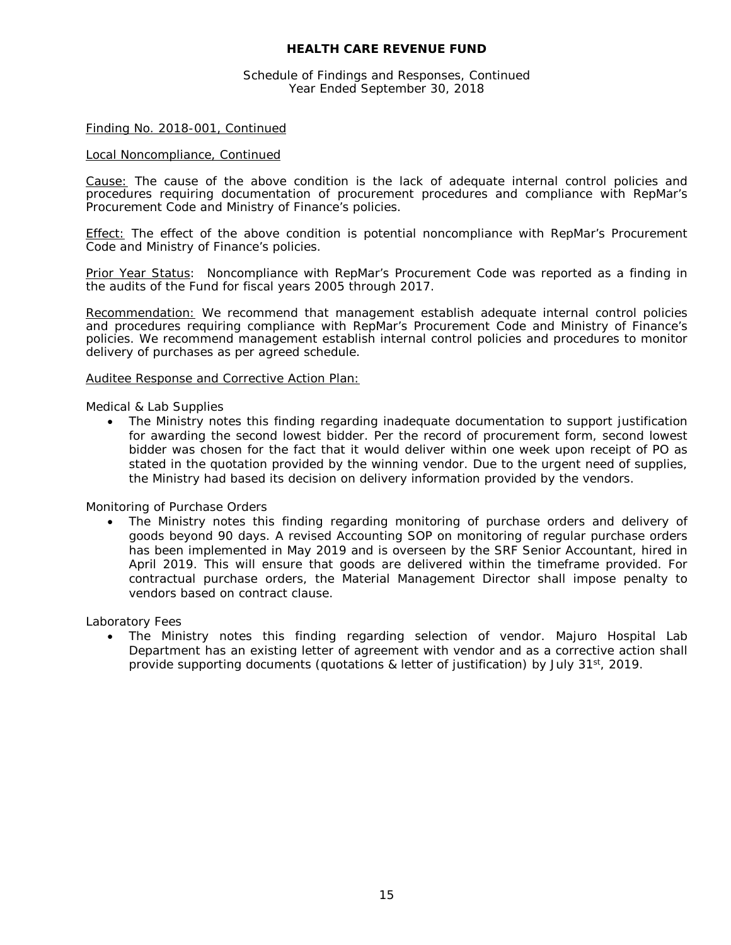Schedule of Findings and Responses, Continued Year Ended September 30, 2018

#### Finding No. 2018-001, Continued

#### Local Noncompliance, Continued

Cause: The cause of the above condition is the lack of adequate internal control policies and procedures requiring documentation of procurement procedures and compliance with RepMar's Procurement Code and Ministry of Finance's policies.

Effect: The effect of the above condition is potential noncompliance with RepMar's Procurement Code and Ministry of Finance's policies.

Prior Year Status: Noncompliance with RepMar's Procurement Code was reported as a finding in the audits of the Fund for fiscal years 2005 through 2017.

Recommendation: We recommend that management establish adequate internal control policies and procedures requiring compliance with RepMar's Procurement Code and Ministry of Finance's policies. We recommend management establish internal control policies and procedures to monitor delivery of purchases as per agreed schedule.

#### Auditee Response and Corrective Action Plan:

Medical & Lab Supplies

• The Ministry notes this finding regarding inadequate documentation to support justification for awarding the second lowest bidder. Per the record of procurement form, second lowest bidder was chosen for the fact that it would deliver within one week upon receipt of PO as stated in the quotation provided by the winning vendor. Due to the urgent need of supplies, the Ministry had based its decision on delivery information provided by the vendors.

Monitoring of Purchase Orders

The Ministry notes this finding regarding monitoring of purchase orders and delivery of goods beyond 90 days. A revised Accounting SOP on monitoring of regular purchase orders has been implemented in May 2019 and is overseen by the SRF Senior Accountant, hired in April 2019. This will ensure that goods are delivered within the timeframe provided. For contractual purchase orders, the Material Management Director shall impose penalty to vendors based on contract clause.

Laboratory Fees

• The Ministry notes this finding regarding selection of vendor. Majuro Hospital Lab Department has an existing letter of agreement with vendor and as a corrective action shall provide supporting documents (quotations & letter of justification) by July  $31^{st}$ , 2019.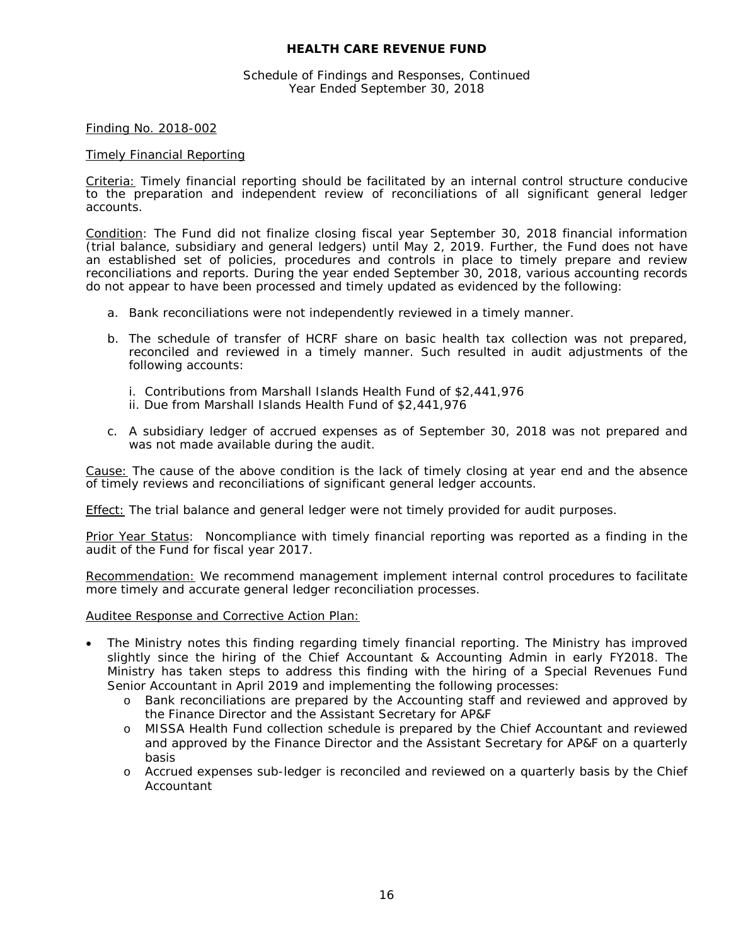#### Schedule of Findings and Responses, Continued Year Ended September 30, 2018

#### Finding No. 2018-002

#### Timely Financial Reporting

Criteria: Timely financial reporting should be facilitated by an internal control structure conducive to the preparation and independent review of reconciliations of all significant general ledger accounts.

Condition: The Fund did not finalize closing fiscal year September 30, 2018 financial information (trial balance, subsidiary and general ledgers) until May 2, 2019. Further, the Fund does not have an established set of policies, procedures and controls in place to timely prepare and review reconciliations and reports. During the year ended September 30, 2018, various accounting records do not appear to have been processed and timely updated as evidenced by the following:

- a. Bank reconciliations were not independently reviewed in a timely manner.
- b. The schedule of transfer of HCRF share on basic health tax collection was not prepared, reconciled and reviewed in a timely manner. Such resulted in audit adjustments of the following accounts:
	- i. Contributions from Marshall Islands Health Fund of \$2,441,976
	- ii. Due from Marshall Islands Health Fund of \$2,441,976
- c. A subsidiary ledger of accrued expenses as of September 30, 2018 was not prepared and was not made available during the audit.

Cause: The cause of the above condition is the lack of timely closing at year end and the absence of timely reviews and reconciliations of significant general ledger accounts.

Effect: The trial balance and general ledger were not timely provided for audit purposes.

Prior Year Status: Noncompliance with timely financial reporting was reported as a finding in the audit of the Fund for fiscal year 2017.

Recommendation: We recommend management implement internal control procedures to facilitate more timely and accurate general ledger reconciliation processes.

Auditee Response and Corrective Action Plan:

- The Ministry notes this finding regarding timely financial reporting. The Ministry has improved slightly since the hiring of the Chief Accountant & Accounting Admin in early FY2018. The Ministry has taken steps to address this finding with the hiring of a Special Revenues Fund Senior Accountant in April 2019 and implementing the following processes:
	- o Bank reconciliations are prepared by the Accounting staff and reviewed and approved by the Finance Director and the Assistant Secretary for AP&F
	- o MISSA Health Fund collection schedule is prepared by the Chief Accountant and reviewed and approved by the Finance Director and the Assistant Secretary for AP&F on a quarterly basis
	- o Accrued expenses sub-ledger is reconciled and reviewed on a quarterly basis by the Chief Accountant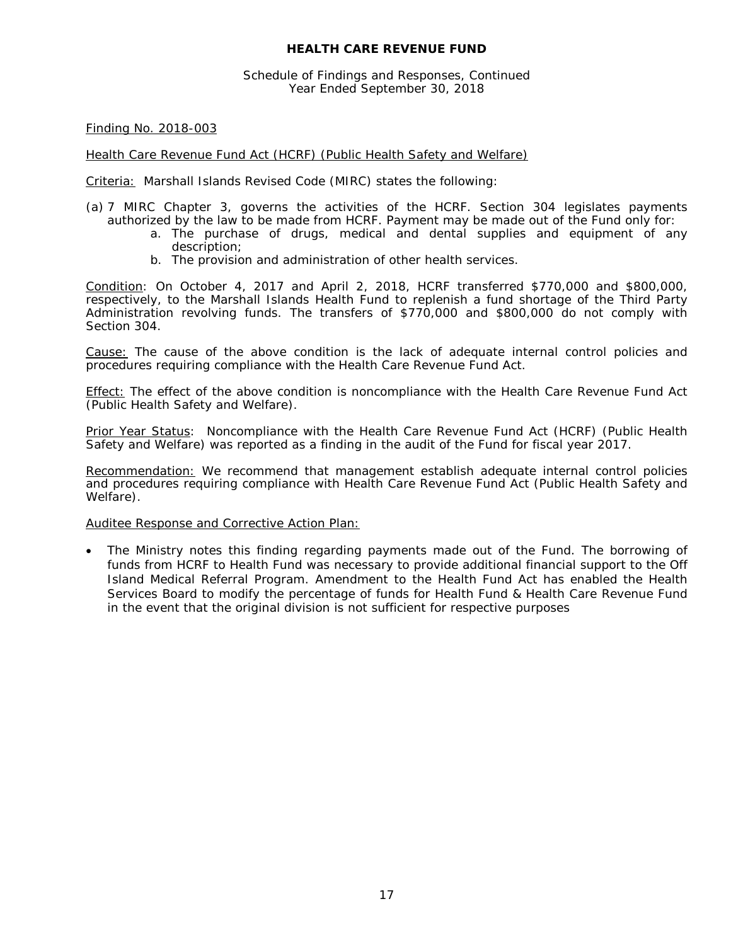Schedule of Findings and Responses, Continued Year Ended September 30, 2018

#### Finding No. 2018-003

#### Health Care Revenue Fund Act (HCRF) (Public Health Safety and Welfare)

Criteria: Marshall Islands Revised Code (MIRC) states the following:

- (a) 7 MIRC Chapter 3, governs the activities of the HCRF. Section 304 legislates payments authorized by the law to be made from HCRF. Payment may be made out of the Fund only for:
	- a. The purchase of drugs, medical and dental supplies and equipment of any description;
	- b. The provision and administration of other health services.

Condition: On October 4, 2017 and April 2, 2018, HCRF transferred \$770,000 and \$800,000, respectively, to the Marshall Islands Health Fund to replenish a fund shortage of the Third Party Administration revolving funds. The transfers of \$770,000 and \$800,000 do not comply with Section 304.

Cause: The cause of the above condition is the lack of adequate internal control policies and procedures requiring compliance with the Health Care Revenue Fund Act.

**Effect:** The effect of the above condition is noncompliance with the Health Care Revenue Fund Act (Public Health Safety and Welfare).

Prior Year Status: Noncompliance with the Health Care Revenue Fund Act (HCRF) (Public Health Safety and Welfare) was reported as a finding in the audit of the Fund for fiscal year 2017.

Recommendation: We recommend that management establish adequate internal control policies and procedures requiring compliance with Health Care Revenue Fund Act (Public Health Safety and Welfare).

Auditee Response and Corrective Action Plan:

• The Ministry notes this finding regarding payments made out of the Fund. The borrowing of funds from HCRF to Health Fund was necessary to provide additional financial support to the Off Island Medical Referral Program. Amendment to the Health Fund Act has enabled the Health Services Board to modify the percentage of funds for Health Fund & Health Care Revenue Fund in the event that the original division is not sufficient for respective purposes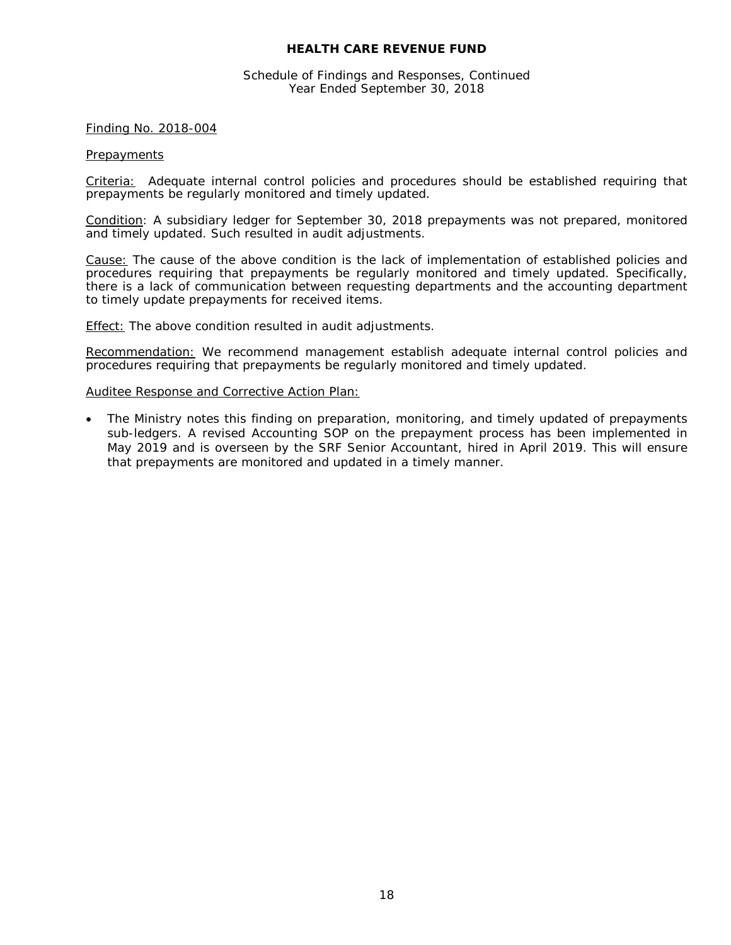Schedule of Findings and Responses, Continued Year Ended September 30, 2018

#### Finding No. 2018-004

#### **Prepayments**

Criteria: Adequate internal control policies and procedures should be established requiring that prepayments be regularly monitored and timely updated.

Condition: A subsidiary ledger for September 30, 2018 prepayments was not prepared, monitored and timely updated. Such resulted in audit adjustments.

Cause: The cause of the above condition is the lack of implementation of established policies and procedures requiring that prepayments be regularly monitored and timely updated. Specifically, there is a lack of communication between requesting departments and the accounting department to timely update prepayments for received items.

Effect: The above condition resulted in audit adjustments.

Recommendation: We recommend management establish adequate internal control policies and procedures requiring that prepayments be regularly monitored and timely updated.

#### Auditee Response and Corrective Action Plan:

• The Ministry notes this finding on preparation, monitoring, and timely updated of prepayments sub-ledgers. A revised Accounting SOP on the prepayment process has been implemented in May 2019 and is overseen by the SRF Senior Accountant, hired in April 2019. This will ensure that prepayments are monitored and updated in a timely manner.